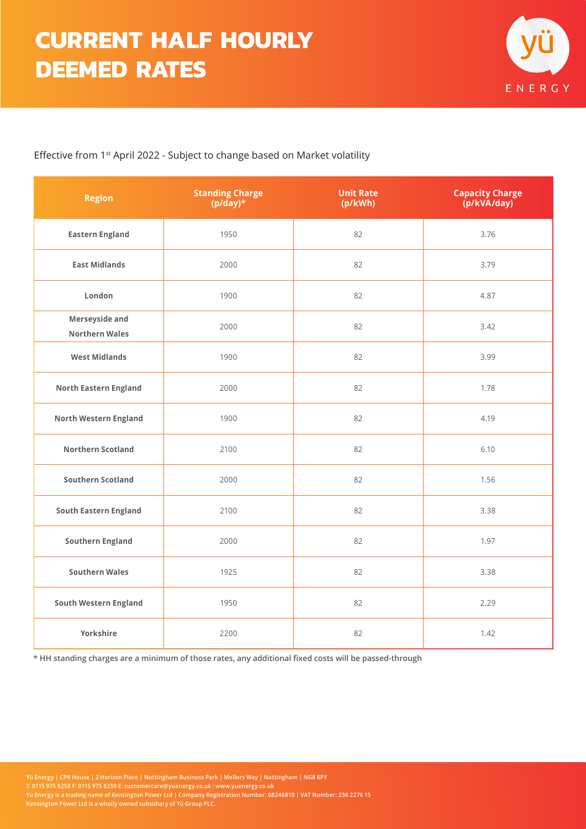

## Effective from 1st April 2022 - Subject to change based on Market volatility

| <b>Region</b>                           | <b>Standing Charge</b><br>$(p/day)*$ | <b>Unit Rate</b><br>(p/kWh) | <b>Capacity Charge</b><br>(p/kVA/day) |  |  |
|-----------------------------------------|--------------------------------------|-----------------------------|---------------------------------------|--|--|
| <b>Eastern England</b>                  | 1950                                 | 82                          | 3.76                                  |  |  |
| <b>East Midlands</b>                    | 2000                                 | 82                          | 3.79                                  |  |  |
| London                                  | 1900                                 | 82                          | 4.87                                  |  |  |
| Merseyside and<br><b>Northern Wales</b> | 2000                                 | 82                          | 3.42                                  |  |  |
| <b>West Midlands</b>                    | 1900                                 | 82                          | 3.99                                  |  |  |
| <b>North Eastern England</b>            | 2000                                 | 82                          | 1.78                                  |  |  |
| <b>North Western England</b>            | 1900                                 | 82                          | 4.19                                  |  |  |
| <b>Northern Scotland</b>                | 2100                                 | 82                          | 6.10                                  |  |  |
| <b>Southern Scotland</b>                | 2000                                 | 82                          | 1.56                                  |  |  |
| <b>South Eastern England</b>            | 2100                                 | 82                          | 3.38                                  |  |  |
| <b>Southern England</b>                 | 2000                                 | 82                          | 1.97                                  |  |  |
| <b>Southern Wales</b>                   | 1925                                 | 82                          | 3.38                                  |  |  |
| <b>South Western England</b>            | 1950                                 | 82                          | 2.29                                  |  |  |
| Yorkshire                               | 2200                                 | 82                          | 1.42                                  |  |  |

**\* HH standing charges are a minimum of those rates, any additional fixed costs will be passed-through**

**Yü Energy | CPK House | 2 Horizon Place | Nottingham Business Park | Mellors Way | Nottingham | NG8 6PY T: 0115 975 8258 F: 0115 975 8259 E: customercare@yuenergy.co.uk : www.yuenergy.co.uk Yü Energy is a trading name of Kensington Power Ltd | Company Registration Number: 08246810 | VAT Number: 236 2276 15 Kensington Power Ltd is a wholly owned subsidiary of Yü Group PLC.**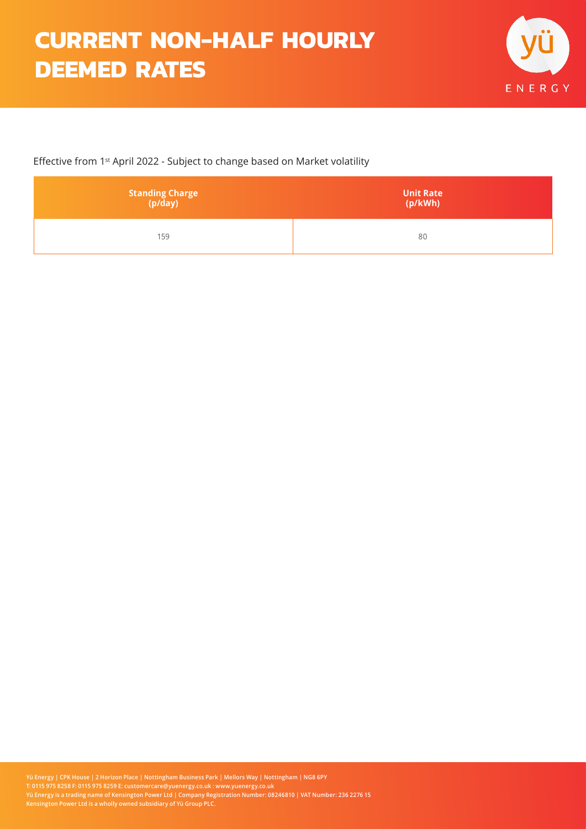## **CURRENT NON-HALF HOURLY DEEMED RATES**



## Effective from 1st April 2022 - Subject to change based on Market volatility

| <b>Standing Charge</b><br>(p/day) | <b>Unit Rate</b><br>(p/kWh) |  |  |
|-----------------------------------|-----------------------------|--|--|
| 159                               | 80                          |  |  |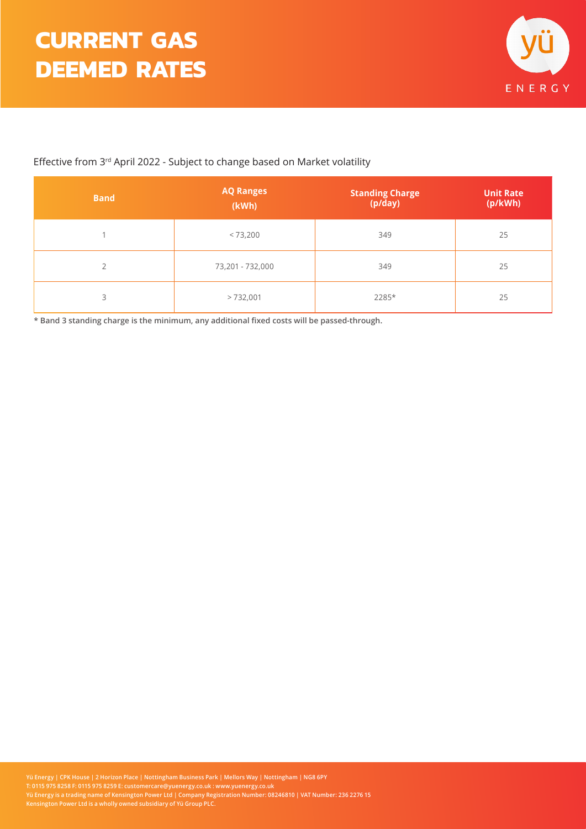

## Effective from 3rd April 2022 - Subject to change based on Market volatility

| <b>Band</b>    | <b>AQ Ranges</b><br>(kWh) | <b>Standing Charge</b><br>(p/day) | <b>Unit Rate</b><br>(p/kWh) |  |
|----------------|---------------------------|-----------------------------------|-----------------------------|--|
|                | < 73,200                  | 349                               | 25                          |  |
| $\overline{2}$ | 73,201 - 732,000          | 349                               | 25                          |  |
| 3              | >732,001                  | 2285*                             | 25                          |  |

**\* Band 3 standing charge is the minimum, any additional fixed costs will be passed-through.**